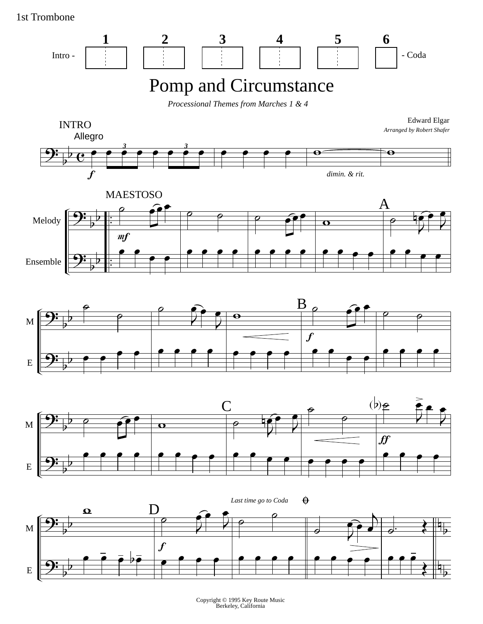1st Trombone



Copyright © 1995 Key Route Music Berkeley, California